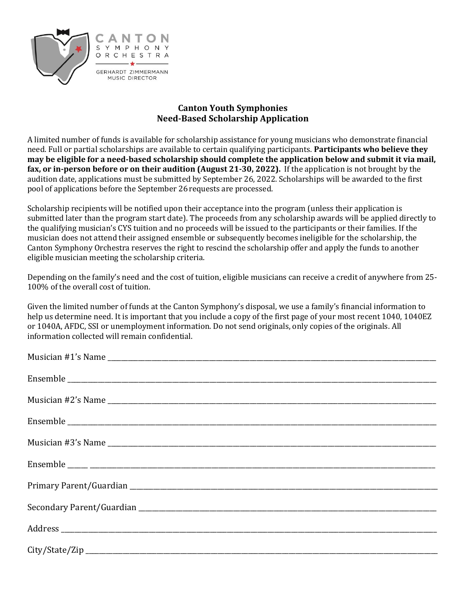

## **Canton Youth Symphonies Need-Based Scholarship Application**

A limited number of funds is available for scholarship assistance for young musicians who demonstrate financial need. Full or partial scholarships are available to certain qualifying participants. **Participants who believe they may be eligible for a need-based scholarship should complete the application below and submit it via mail, fax, or in-person before or on their audition (August 21-30, 2022).** If the application is not brought by the audition date, applications must be submitted by September 26, 2022. Scholarships will be awarded to the first pool of applications before the September 26 requests are processed.

Scholarship recipients will be notified upon their acceptance into the program (unless their application is submitted later than the program start date). The proceeds from any scholarship awards will be applied directly to the qualifying musician's CYS tuition and no proceeds will be issued to the participants or their families. If the musician does not attend their assigned ensemble or subsequently becomes ineligible for the scholarship, the Canton Symphony Orchestra reserves the right to rescind the scholarship offer and apply the funds to another eligible musician meeting the scholarship criteria.

Depending on the family's need and the cost of tuition, eligible musicians can receive a credit of anywhere from 25- 100% of the overall cost of tuition.

Given the limited number of funds at the Canton Symphony's disposal, we use a family's financial information to help us determine need. It is important that you include a copy of the first page of your most recent 1040, 1040EZ or 1040A, AFDC, SSI or unemployment information. Do not send originals, only copies of the originals. All information collected will remain confidential.